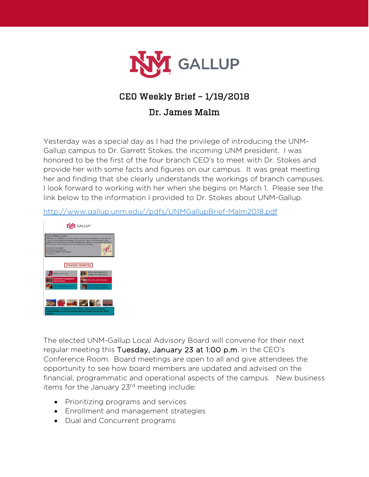

# CEO Weekly Brief – 1/19/2018

### Dr. James Malm

Yesterday was a special day as I had the privilege of introducing the UNM-Gallup campus to Dr. Garrett Stokes, the incoming UNM president. I was honored to be the first of the four branch CEO's to meet with Dr. Stokes and provide her with some facts and figures on our campus. It was great meeting her and finding that she clearly understands the workings of branch campuses. I look forward to working with her when she begins on March 1. Please see the link below to the information I provided to Dr. Stokes about UNM-Gallup.

[http://www.gallup.unm.edu//pdfs/UNMGallupBrief-Malm2018.pdf](http://www.gallup.unm.edu/pdfs/UNMGallupBrief-Malm2018.pdf)



The elected UNM-Gallup Local Advisory Board will convene for their next regular meeting this Tuesday, January 23 at 1:00 p.m. in the CEO's Conference Room. Board meetings are open to all and give attendees the opportunity to see how board members are updated and advised on the financial, programmatic and operational aspects of the campus. New business items for the January 23<sup>rd</sup> meeting include:

- Prioritizing programs and services
- Enrollment and management strategies
- Dual and Concurrent programs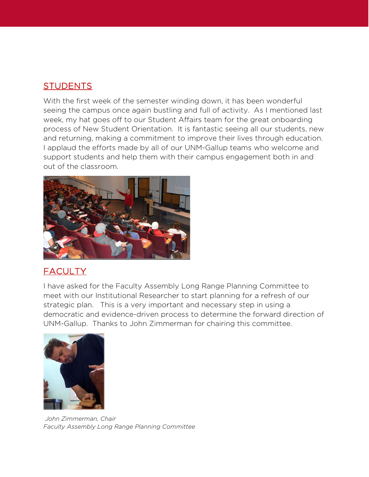#### **STUDENTS**

With the first week of the semester winding down, it has been wonderful seeing the campus once again bustling and full of activity. As I mentioned last week, my hat goes off to our Student Affairs team for the great onboarding process of New Student Orientation. It is fantastic seeing all our students, new and returning, making a commitment to improve their lives through education. I applaud the efforts made by all of our UNM-Gallup teams who welcome and support students and help them with their campus engagement both in and out of the classroom.



## **FACULTY**

I have asked for the Faculty Assembly Long Range Planning Committee to meet with our Institutional Researcher to start planning for a refresh of our strategic plan. This is a very important and necessary step in using a democratic and evidence-driven process to determine the forward direction of UNM-Gallup. Thanks to John Zimmerman for chairing this committee.



*John Zimmerman, Chair Faculty Assembly Long Range Planning Committee*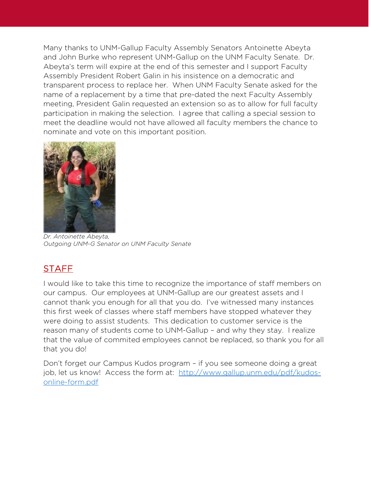Many thanks to UNM-Gallup Faculty Assembly Senators Antoinette Abeyta and John Burke who represent UNM-Gallup on the UNM Faculty Senate. Dr. Abeyta's term will expire at the end of this semester and I support Faculty Assembly President Robert Galin in his insistence on a democratic and transparent process to replace her. When UNM Faculty Senate asked for the name of a replacement by a time that pre-dated the next Faculty Assembly meeting, President Galin requested an extension so as to allow for full faculty participation in making the selection. I agree that calling a special session to meet the deadline would not have allowed all faculty members the chance to nominate and vote on this important position.



*Dr. Antoinette Abeyta, Outgoing UNM-G Senator on UNM Faculty Senate*

# **STAFF**

I would like to take this time to recognize the importance of staff members on our campus. Our employees at UNM-Gallup are our greatest assets and I cannot thank you enough for all that you do. I've witnessed many instances this first week of classes where staff members have stopped whatever they were doing to assist students. This dedication to customer service is the reason many of students come to UNM-Gallup – and why they stay. I realize that the value of commited employees cannot be replaced, so thank you for all that you do!

Don't forget our Campus Kudos program – if you see someone doing a great job, let us know! Access the form at: [http://www.gallup.unm.edu/pdf/kudos](http://www.gallup.unm.edu/pdf/kudos-online-form.pdf)[online-form.pdf](http://www.gallup.unm.edu/pdf/kudos-online-form.pdf)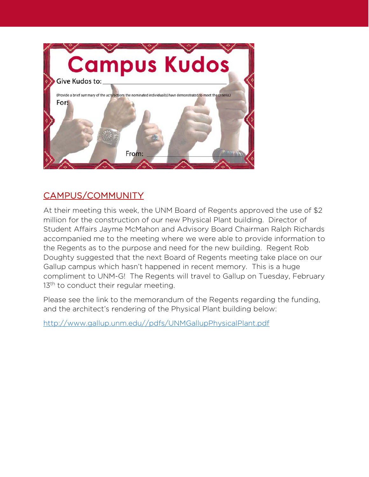

# CAMPUS/COMMUNITY

At their meeting this week, the UNM Board of Regents approved the use of \$2 million for the construction of our new Physical Plant building. Director of Student Affairs Jayme McMahon and Advisory Board Chairman Ralph Richards accompanied me to the meeting where we were able to provide information to the Regents as to the purpose and need for the new building. Regent Rob Doughty suggested that the next Board of Regents meeting take place on our Gallup campus which hasn't happened in recent memory. This is a huge compliment to UNM-G! The Regents will travel to Gallup on Tuesday, February 13<sup>th</sup> to conduct their regular meeting.

Please see the link to the memorandum of the Regents regarding the funding, and the architect's rendering of the Physical Plant building below:

[http://www.gallup.unm.edu//pdfs/UNMGallupPhysicalPlant.pdf](http://www.gallup.unm.edu/pdfs/UNMGallupPhysicalPlant.pdf)